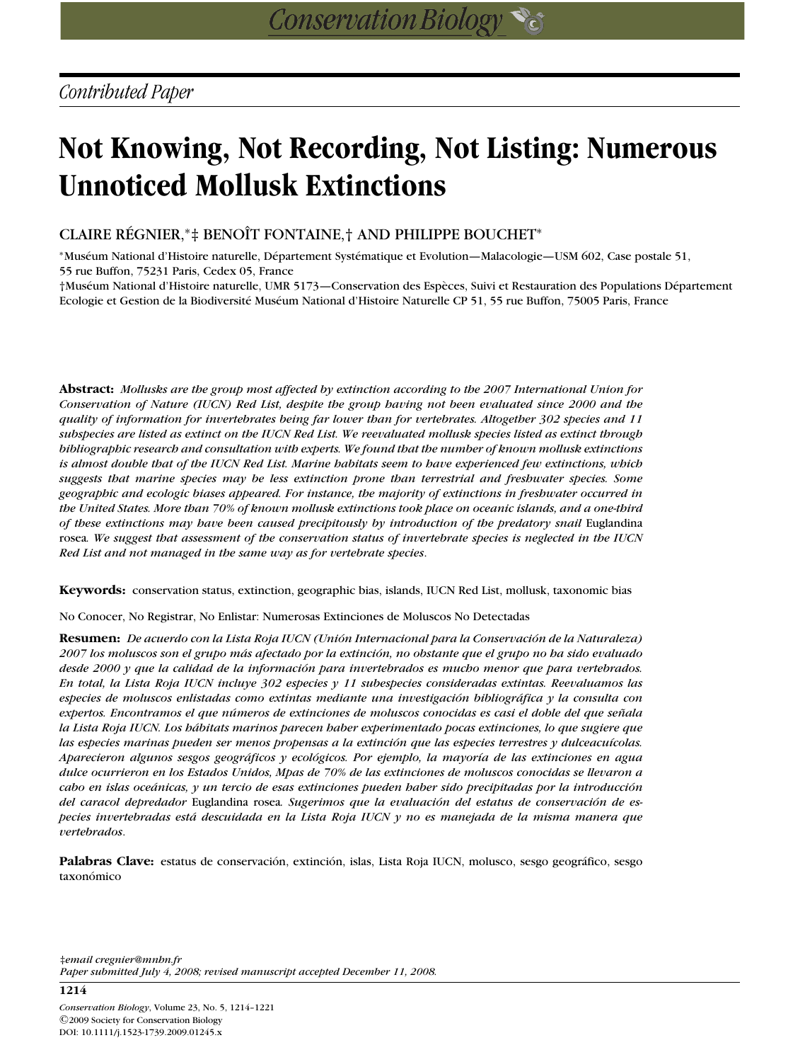# **Not Knowing, Not Recording, Not Listing: Numerous Unnoticed Mollusk Extinctions**

## CLAIRE RÉGNIER, \*‡ BENOÎT FONTAINE,† AND PHILIPPE BOUCHET\*

\*Muséum National d'Histoire naturelle, Département Systématique et Evolution—Malacologie—USM 602, Case postale 51, 55 rue Buffon, 75231 Paris, Cedex 05, France

†Muséum National d'Histoire naturelle, UMR 5173—Conservation des Espèces, Suivi et Restauration des Populations Département Ecologie et Gestion de la Biodiversité Muséum National d'Histoire Naturelle CP 51, 55 rue Buffon, 75005 Paris, France

**Abstract:** *Mollusks are the group most affected by extinction according to the 2007 International Union for Conservation of Nature (IUCN) Red List, despite the group having not been evaluated since 2000 and the quality of information for invertebrates being far lower than for vertebrates. Altogether 302 species and 11 subspecies are listed as extinct on the IUCN Red List. We reevaluated mollusk species listed as extinct through bibliographic research and consultation with experts. We found that the number of known mollusk extinctions is almost double that of the IUCN Red List. Marine habitats seem to have experienced few extinctions, which suggests that marine species may be less extinction prone than terrestrial and freshwater species. Some geographic and ecologic biases appeared. For instance, the majority of extinctions in freshwater occurred in the United States. More than 70% of known mollusk extinctions took place on oceanic islands, and a one-third of these extinctions may have been caused precipitously by introduction of the predatory snail* Euglandina rosea*. We suggest that assessment of the conservation status of invertebrate species is neglected in the IUCN Red List and not managed in the same way as for vertebrate species*.

**Keywords:** conservation status, extinction, geographic bias, islands, IUCN Red List, mollusk, taxonomic bias

No Conocer, No Registrar, No Enlistar: Numerosas Extinciones de Moluscos No Detectadas

**Resumen:** *De acuerdo con la Lista Roja IUCN (Union Internacional para la Conservaci ´ on de la Naturaleza) ´ 2007 los moluscos son el grupo mas afectado por la extinci ´ on, no obstante que el grupo no ha sido evaluado ´ desde 2000 y que la calidad de la informacion para invertebrados es mucho menor que para vertebrados. ´ En total, la Lista Roja IUCN incluye 302 especies y 11 subespecies consideradas extintas. Reevaluamos las especies de moluscos enlistadas como extintas mediante una investigacion bibliogr ´ afica y la consulta con ´ expertos. Encontramos el que numeros de extinciones de moluscos conocidas es casi el doble del que se ´ nala ˜ la Lista Roja IUCN. Los habitats marinos parecen haber experimentado pocas extinciones, lo que sugiere que ´ las especies marinas pueden ser menos propensas a la extinción que las especies terrestres y dulceacuícolas. Aparecieron algunos sesgos geograficos y ecol ´ ogicos. Por ejemplo, la mayor ´ ´ıa de las extinciones en agua dulce ocurrieron en los Estados Unidos, Mpas de 70% de las extinciones de moluscos conocidas se llevaron a cabo en islas oceanicas, y un tercio de esas extinciones pueden haber sido precipitadas por la introducci ´ on´ del caracol depredador* Euglandina rosea*. Sugerimos que la evaluacion del estatus de conservaci ´ on de es- ´ pecies invertebradas esta descuidada en la Lista Roja IUCN y no es manejada de la misma manera que ´ vertebrados*.

Palabras Clave: estatus de conservación, extinción, islas, Lista Roja IUCN, molusco, sesgo geográfico, sesgo taxonómico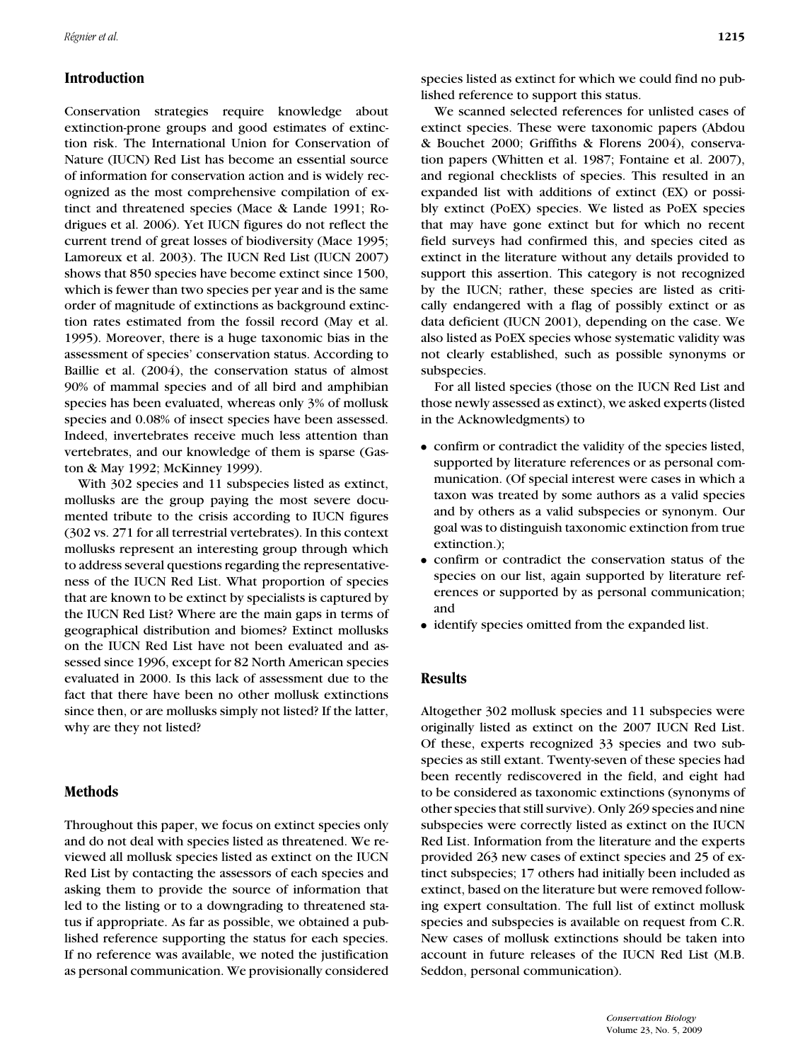## **Introduction**

Conservation strategies require knowledge about extinction-prone groups and good estimates of extinction risk. The International Union for Conservation of Nature (IUCN) Red List has become an essential source of information for conservation action and is widely recognized as the most comprehensive compilation of extinct and threatened species (Mace & Lande 1991; Rodrigues et al. 2006). Yet IUCN figures do not reflect the current trend of great losses of biodiversity (Mace 1995; Lamoreux et al. 2003). The IUCN Red List (IUCN 2007) shows that 850 species have become extinct since 1500, which is fewer than two species per year and is the same order of magnitude of extinctions as background extinction rates estimated from the fossil record (May et al. 1995). Moreover, there is a huge taxonomic bias in the assessment of species' conservation status. According to Baillie et al. (2004), the conservation status of almost 90% of mammal species and of all bird and amphibian species has been evaluated, whereas only 3% of mollusk species and 0.08% of insect species have been assessed. Indeed, invertebrates receive much less attention than vertebrates, and our knowledge of them is sparse (Gaston & May 1992; McKinney 1999).

With 302 species and 11 subspecies listed as extinct, mollusks are the group paying the most severe documented tribute to the crisis according to IUCN figures (302 vs. 271 for all terrestrial vertebrates). In this context mollusks represent an interesting group through which to address several questions regarding the representativeness of the IUCN Red List. What proportion of species that are known to be extinct by specialists is captured by the IUCN Red List? Where are the main gaps in terms of geographical distribution and biomes? Extinct mollusks on the IUCN Red List have not been evaluated and assessed since 1996, except for 82 North American species evaluated in 2000. Is this lack of assessment due to the fact that there have been no other mollusk extinctions since then, or are mollusks simply not listed? If the latter, why are they not listed?

## **Methods**

Throughout this paper, we focus on extinct species only and do not deal with species listed as threatened. We reviewed all mollusk species listed as extinct on the IUCN Red List by contacting the assessors of each species and asking them to provide the source of information that led to the listing or to a downgrading to threatened status if appropriate. As far as possible, we obtained a published reference supporting the status for each species. If no reference was available, we noted the justification as personal communication. We provisionally considered species listed as extinct for which we could find no published reference to support this status.

We scanned selected references for unlisted cases of extinct species. These were taxonomic papers (Abdou & Bouchet 2000; Griffiths & Florens 2004), conservation papers (Whitten et al. 1987; Fontaine et al. 2007), and regional checklists of species. This resulted in an expanded list with additions of extinct (EX) or possibly extinct (PoEX) species. We listed as PoEX species that may have gone extinct but for which no recent field surveys had confirmed this, and species cited as extinct in the literature without any details provided to support this assertion. This category is not recognized by the IUCN; rather, these species are listed as critically endangered with a flag of possibly extinct or as data deficient (IUCN 2001), depending on the case. We also listed as PoEX species whose systematic validity was not clearly established, such as possible synonyms or subspecies.

For all listed species (those on the IUCN Red List and those newly assessed as extinct), we asked experts (listed in the Acknowledgments) to

- confirm or contradict the validity of the species listed, supported by literature references or as personal communication. (Of special interest were cases in which a taxon was treated by some authors as a valid species and by others as a valid subspecies or synonym. Our goal was to distinguish taxonomic extinction from true extinction.);
- confirm or contradict the conservation status of the species on our list, again supported by literature references or supported by as personal communication; and
- identify species omitted from the expanded list.

#### **Results**

Altogether 302 mollusk species and 11 subspecies were originally listed as extinct on the 2007 IUCN Red List. Of these, experts recognized 33 species and two subspecies as still extant. Twenty-seven of these species had been recently rediscovered in the field, and eight had to be considered as taxonomic extinctions (synonyms of other species that still survive). Only 269 species and nine subspecies were correctly listed as extinct on the IUCN Red List. Information from the literature and the experts provided 263 new cases of extinct species and 25 of extinct subspecies; 17 others had initially been included as extinct, based on the literature but were removed following expert consultation. The full list of extinct mollusk species and subspecies is available on request from C.R. New cases of mollusk extinctions should be taken into account in future releases of the IUCN Red List (M.B. Seddon, personal communication).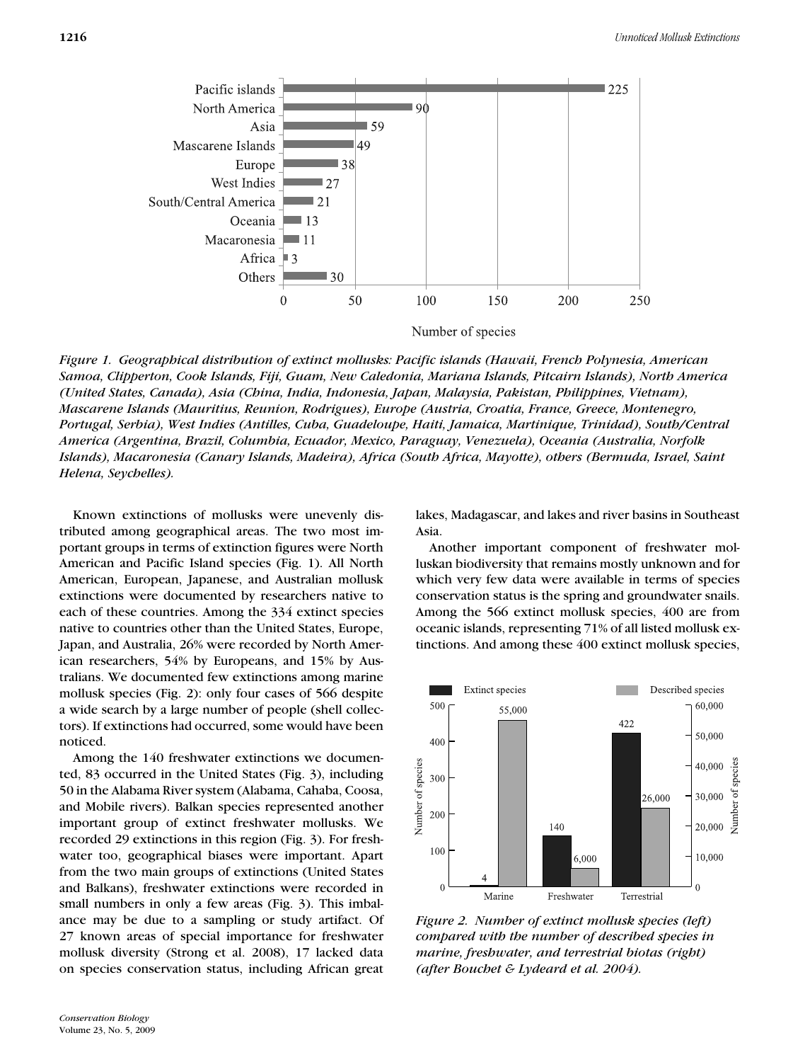

*Figure 1. Geographical distribution of extinct mollusks: Pacific islands (Hawaii, French Polynesia, American Samoa, Clipperton, Cook Islands, Fiji, Guam, New Caledonia, Mariana Islands, Pitcairn Islands), North America (United States, Canada), Asia (China, India, Indonesia, Japan, Malaysia, Pakistan, Philippines, Vietnam), Mascarene Islands (Mauritius, Reunion, Rodrigues), Europe (Austria, Croatia, France, Greece, Montenegro, Portugal, Serbia), West Indies (Antilles, Cuba, Guadeloupe, Haiti, Jamaica, Martinique, Trinidad), South/Central America (Argentina, Brazil, Columbia, Ecuador, Mexico, Paraguay, Venezuela), Oceania (Australia, Norfolk Islands), Macaronesia (Canary Islands, Madeira), Africa (South Africa, Mayotte), others (Bermuda, Israel, Saint Helena, Seychelles).*

Known extinctions of mollusks were unevenly distributed among geographical areas. The two most important groups in terms of extinction figures were North American and Pacific Island species (Fig. 1). All North American, European, Japanese, and Australian mollusk extinctions were documented by researchers native to each of these countries. Among the 334 extinct species native to countries other than the United States, Europe, Japan, and Australia, 26% were recorded by North American researchers, 54% by Europeans, and 15% by Australians. We documented few extinctions among marine mollusk species (Fig. 2): only four cases of 566 despite a wide search by a large number of people (shell collectors). If extinctions had occurred, some would have been noticed.

Among the 140 freshwater extinctions we documented, 83 occurred in the United States (Fig. 3), including 50 in the Alabama River system (Alabama, Cahaba, Coosa, and Mobile rivers). Balkan species represented another important group of extinct freshwater mollusks. We recorded 29 extinctions in this region (Fig. 3). For freshwater too, geographical biases were important. Apart from the two main groups of extinctions (United States and Balkans), freshwater extinctions were recorded in small numbers in only a few areas (Fig. 3). This imbalance may be due to a sampling or study artifact. Of 27 known areas of special importance for freshwater mollusk diversity (Strong et al. 2008), 17 lacked data on species conservation status, including African great lakes, Madagascar, and lakes and river basins in Southeast Asia.

Another important component of freshwater molluskan biodiversity that remains mostly unknown and for which very few data were available in terms of species conservation status is the spring and groundwater snails. Among the 566 extinct mollusk species, 400 are from oceanic islands, representing 71% of all listed mollusk extinctions. And among these 400 extinct mollusk species,



*Figure 2. Number of extinct mollusk species (left) compared with the number of described species in marine, freshwater, and terrestrial biotas (right) (after Bouchet & Lydeard et al. 2004).*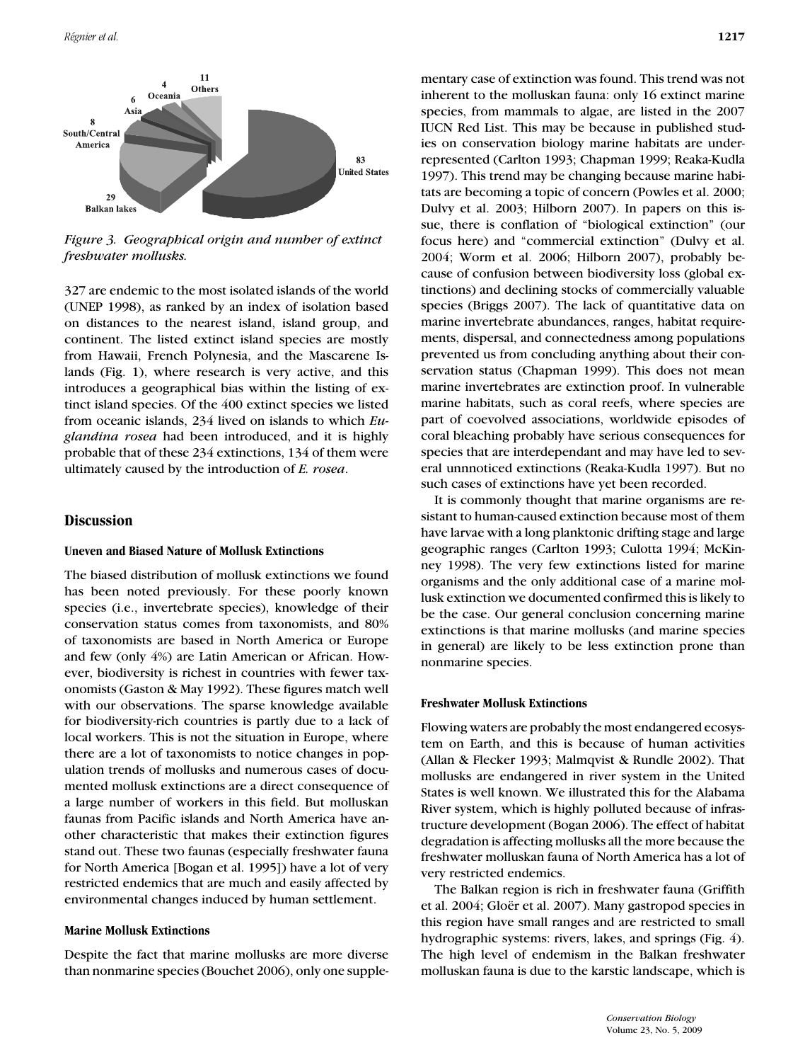

*Figure 3. Geographical origin and number of extinct freshwater mollusks.*

327 are endemic to the most isolated islands of the world (UNEP 1998), as ranked by an index of isolation based on distances to the nearest island, island group, and continent. The listed extinct island species are mostly from Hawaii, French Polynesia, and the Mascarene Islands (Fig. 1), where research is very active, and this introduces a geographical bias within the listing of extinct island species. Of the 400 extinct species we listed from oceanic islands, 234 lived on islands to which *Euglandina rosea* had been introduced, and it is highly probable that of these 234 extinctions, 134 of them were ultimately caused by the introduction of *E. rosea*.

## **Discussion**

#### **Uneven and Biased Nature of Mollusk Extinctions**

The biased distribution of mollusk extinctions we found has been noted previously. For these poorly known species (i.e., invertebrate species), knowledge of their conservation status comes from taxonomists, and 80% of taxonomists are based in North America or Europe and few (only 4%) are Latin American or African. However, biodiversity is richest in countries with fewer taxonomists (Gaston & May 1992). These figures match well with our observations. The sparse knowledge available for biodiversity-rich countries is partly due to a lack of local workers. This is not the situation in Europe, where there are a lot of taxonomists to notice changes in population trends of mollusks and numerous cases of documented mollusk extinctions are a direct consequence of a large number of workers in this field. But molluskan faunas from Pacific islands and North America have another characteristic that makes their extinction figures stand out. These two faunas (especially freshwater fauna for North America [Bogan et al. 1995]) have a lot of very restricted endemics that are much and easily affected by environmental changes induced by human settlement.

#### **Marine Mollusk Extinctions**

Despite the fact that marine mollusks are more diverse than nonmarine species (Bouchet 2006), only one supplementary case of extinction was found. This trend was not inherent to the molluskan fauna: only 16 extinct marine species, from mammals to algae, are listed in the 2007 IUCN Red List. This may be because in published studies on conservation biology marine habitats are underrepresented (Carlton 1993; Chapman 1999; Reaka-Kudla 1997). This trend may be changing because marine habitats are becoming a topic of concern (Powles et al. 2000; Dulvy et al. 2003; Hilborn 2007). In papers on this issue, there is conflation of "biological extinction" (our focus here) and "commercial extinction" (Dulvy et al. 2004; Worm et al. 2006; Hilborn 2007), probably because of confusion between biodiversity loss (global extinctions) and declining stocks of commercially valuable species (Briggs 2007). The lack of quantitative data on marine invertebrate abundances, ranges, habitat requirements, dispersal, and connectedness among populations prevented us from concluding anything about their conservation status (Chapman 1999). This does not mean marine invertebrates are extinction proof. In vulnerable marine habitats, such as coral reefs, where species are part of coevolved associations, worldwide episodes of coral bleaching probably have serious consequences for species that are interdependant and may have led to several unnnoticed extinctions (Reaka-Kudla 1997). But no such cases of extinctions have yet been recorded.

It is commonly thought that marine organisms are resistant to human-caused extinction because most of them have larvae with a long planktonic drifting stage and large geographic ranges (Carlton 1993; Culotta 1994; McKinney 1998). The very few extinctions listed for marine organisms and the only additional case of a marine mollusk extinction we documented confirmed this is likely to be the case. Our general conclusion concerning marine extinctions is that marine mollusks (and marine species in general) are likely to be less extinction prone than nonmarine species.

#### **Freshwater Mollusk Extinctions**

Flowing waters are probably the most endangered ecosystem on Earth, and this is because of human activities (Allan & Flecker 1993; Malmqvist & Rundle 2002). That mollusks are endangered in river system in the United States is well known. We illustrated this for the Alabama River system, which is highly polluted because of infrastructure development (Bogan 2006). The effect of habitat degradation is affecting mollusks all the more because the freshwater molluskan fauna of North America has a lot of very restricted endemics.

The Balkan region is rich in freshwater fauna (Griffith et al. 2004; Gloër et al. 2007). Many gastropod species in this region have small ranges and are restricted to small hydrographic systems: rivers, lakes, and springs (Fig. 4). The high level of endemism in the Balkan freshwater molluskan fauna is due to the karstic landscape, which is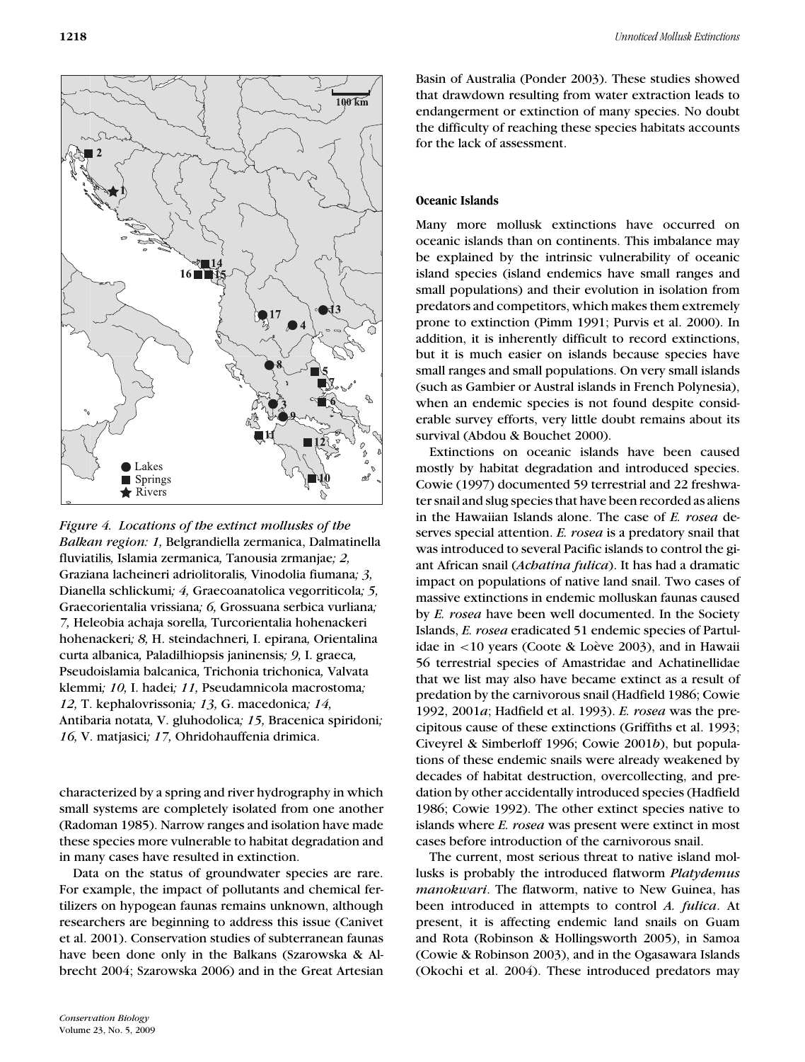

*Figure 4. Locations of the extinct mollusks of the Balkan region: 1,* Belgrandiella zermanica, Dalmatinella fluviatilis*,* Islamia zermanica*,* Tanousia zrmanjae*; 2,* Graziana lacheineri adriolitoralis*,* Vinodolia fiumana*; 3,* Dianella schlickumi*; 4,* Graecoanatolica vegorriticola*; 5,* Graecorientalia vrissiana*; 6,* Grossuana serbica vurliana*; 7,* Heleobia achaja sorella*,* Turcorientalia hohenackeri hohenackeri*; 8,* H. steindachneri*,* I. epirana*,* Orientalina curta albanica*,* Paladilhiopsis janinensis*; 9,* I. graeca*,* Pseudoislamia balcanica*,* Trichonia trichonica*,* Valvata klemmi*; 10,* I. hadei*; 11,* Pseudamnicola macrostoma*; 12,* T. kephalovrissonia*; 13,* G. macedonica*; 14,* Antibaria notata*,* V. gluhodolica*; 15,* Bracenica spiridoni*; 16,* V. matjasici*; 17,* Ohridohauffenia drimica.

characterized by a spring and river hydrography in which small systems are completely isolated from one another (Radoman 1985). Narrow ranges and isolation have made these species more vulnerable to habitat degradation and in many cases have resulted in extinction.

Data on the status of groundwater species are rare. For example, the impact of pollutants and chemical fertilizers on hypogean faunas remains unknown, although researchers are beginning to address this issue (Canivet et al. 2001). Conservation studies of subterranean faunas have been done only in the Balkans (Szarowska & Albrecht 2004; Szarowska 2006) and in the Great Artesian

Basin of Australia (Ponder 2003). These studies showed that drawdown resulting from water extraction leads to endangerment or extinction of many species. No doubt the difficulty of reaching these species habitats accounts for the lack of assessment.

#### **Oceanic Islands**

Many more mollusk extinctions have occurred on oceanic islands than on continents. This imbalance may be explained by the intrinsic vulnerability of oceanic island species (island endemics have small ranges and small populations) and their evolution in isolation from predators and competitors, which makes them extremely prone to extinction (Pimm 1991; Purvis et al. 2000). In addition, it is inherently difficult to record extinctions, but it is much easier on islands because species have small ranges and small populations. On very small islands (such as Gambier or Austral islands in French Polynesia), when an endemic species is not found despite considerable survey efforts, very little doubt remains about its survival (Abdou & Bouchet 2000).

Extinctions on oceanic islands have been caused mostly by habitat degradation and introduced species. Cowie (1997) documented 59 terrestrial and 22 freshwater snail and slug species that have been recorded as aliens in the Hawaiian Islands alone. The case of *E. rosea* deserves special attention. *E. rosea* is a predatory snail that was introduced to several Pacific islands to control the giant African snail (*Achatina fulica*). It has had a dramatic impact on populations of native land snail. Two cases of massive extinctions in endemic molluskan faunas caused by *E. rosea* have been well documented. In the Society Islands, *E. rosea* eradicated 51 endemic species of Partulidae in  $\langle 10 \rangle$  years (Coote & Loève 2003), and in Hawaii 56 terrestrial species of Amastridae and Achatinellidae that we list may also have became extinct as a result of predation by the carnivorous snail (Hadfield 1986; Cowie 1992, 2001*a*; Hadfield et al. 1993). *E. rosea* was the precipitous cause of these extinctions (Griffiths et al. 1993; Civeyrel & Simberloff 1996; Cowie 2001*b*), but populations of these endemic snails were already weakened by decades of habitat destruction, overcollecting, and predation by other accidentally introduced species (Hadfield 1986; Cowie 1992). The other extinct species native to islands where *E. rosea* was present were extinct in most cases before introduction of the carnivorous snail.

The current, most serious threat to native island mollusks is probably the introduced flatworm *Platydemus manokwari*. The flatworm, native to New Guinea, has been introduced in attempts to control *A. fulica*. At present, it is affecting endemic land snails on Guam and Rota (Robinson & Hollingsworth 2005), in Samoa (Cowie & Robinson 2003), and in the Ogasawara Islands (Okochi et al. 2004). These introduced predators may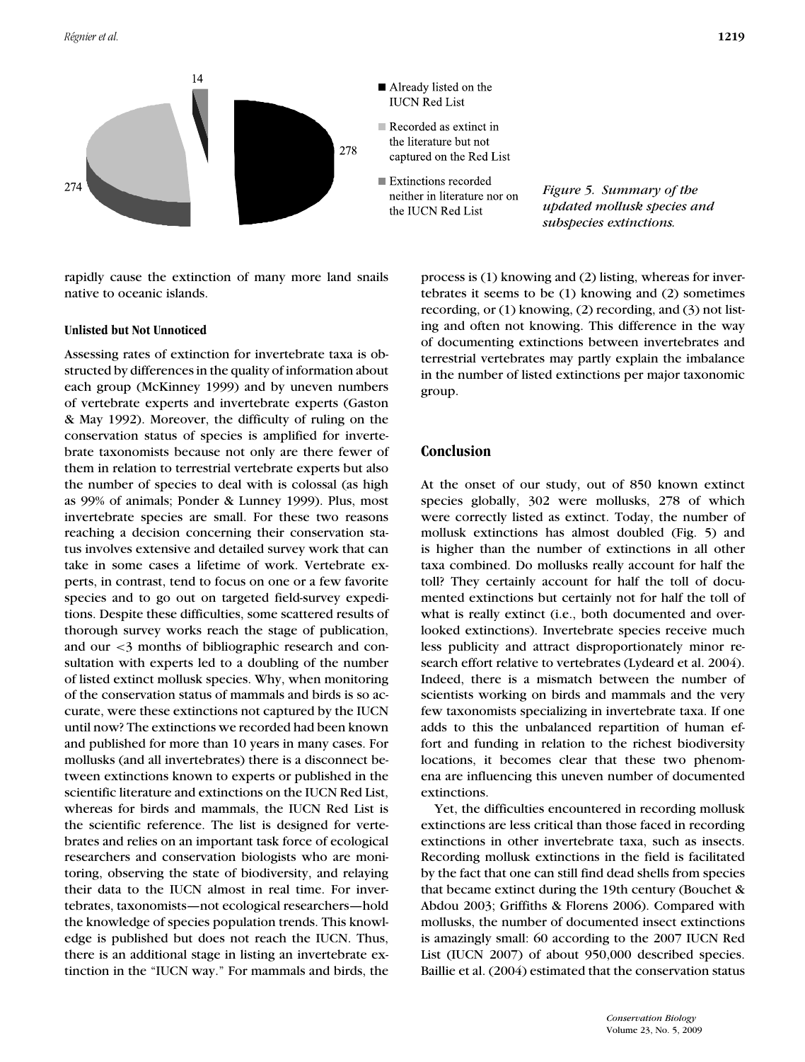

rapidly cause the extinction of many more land snails native to oceanic islands.

#### **Unlisted but Not Unnoticed**

Assessing rates of extinction for invertebrate taxa is obstructed by differences in the quality of information about each group (McKinney 1999) and by uneven numbers of vertebrate experts and invertebrate experts (Gaston & May 1992). Moreover, the difficulty of ruling on the conservation status of species is amplified for invertebrate taxonomists because not only are there fewer of them in relation to terrestrial vertebrate experts but also the number of species to deal with is colossal (as high as 99% of animals; Ponder & Lunney 1999). Plus, most invertebrate species are small. For these two reasons reaching a decision concerning their conservation status involves extensive and detailed survey work that can take in some cases a lifetime of work. Vertebrate experts, in contrast, tend to focus on one or a few favorite species and to go out on targeted field-survey expeditions. Despite these difficulties, some scattered results of thorough survey works reach the stage of publication, and our <3 months of bibliographic research and consultation with experts led to a doubling of the number of listed extinct mollusk species. Why, when monitoring of the conservation status of mammals and birds is so accurate, were these extinctions not captured by the IUCN until now? The extinctions we recorded had been known and published for more than 10 years in many cases. For mollusks (and all invertebrates) there is a disconnect between extinctions known to experts or published in the scientific literature and extinctions on the IUCN Red List, whereas for birds and mammals, the IUCN Red List is the scientific reference. The list is designed for vertebrates and relies on an important task force of ecological researchers and conservation biologists who are monitoring, observing the state of biodiversity, and relaying their data to the IUCN almost in real time. For invertebrates, taxonomists—not ecological researchers—hold the knowledge of species population trends. This knowledge is published but does not reach the IUCN. Thus, there is an additional stage in listing an invertebrate extinction in the "IUCN way." For mammals and birds, the process is (1) knowing and (2) listing, whereas for invertebrates it seems to be (1) knowing and (2) sometimes recording, or (1) knowing, (2) recording, and (3) not listing and often not knowing. This difference in the way of documenting extinctions between invertebrates and terrestrial vertebrates may partly explain the imbalance in the number of listed extinctions per major taxonomic group.

*Figure 5. Summary of the updated mollusk species and subspecies extinctions.*

## **Conclusion**

At the onset of our study, out of 850 known extinct species globally, 302 were mollusks, 278 of which were correctly listed as extinct. Today, the number of mollusk extinctions has almost doubled (Fig. 5) and is higher than the number of extinctions in all other taxa combined. Do mollusks really account for half the toll? They certainly account for half the toll of documented extinctions but certainly not for half the toll of what is really extinct (i.e., both documented and overlooked extinctions). Invertebrate species receive much less publicity and attract disproportionately minor research effort relative to vertebrates (Lydeard et al. 2004). Indeed, there is a mismatch between the number of scientists working on birds and mammals and the very few taxonomists specializing in invertebrate taxa. If one adds to this the unbalanced repartition of human effort and funding in relation to the richest biodiversity locations, it becomes clear that these two phenomena are influencing this uneven number of documented extinctions.

Yet, the difficulties encountered in recording mollusk extinctions are less critical than those faced in recording extinctions in other invertebrate taxa, such as insects. Recording mollusk extinctions in the field is facilitated by the fact that one can still find dead shells from species that became extinct during the 19th century (Bouchet & Abdou 2003; Griffiths & Florens 2006). Compared with mollusks, the number of documented insect extinctions is amazingly small: 60 according to the 2007 IUCN Red List (IUCN 2007) of about 950,000 described species. Baillie et al. (2004) estimated that the conservation status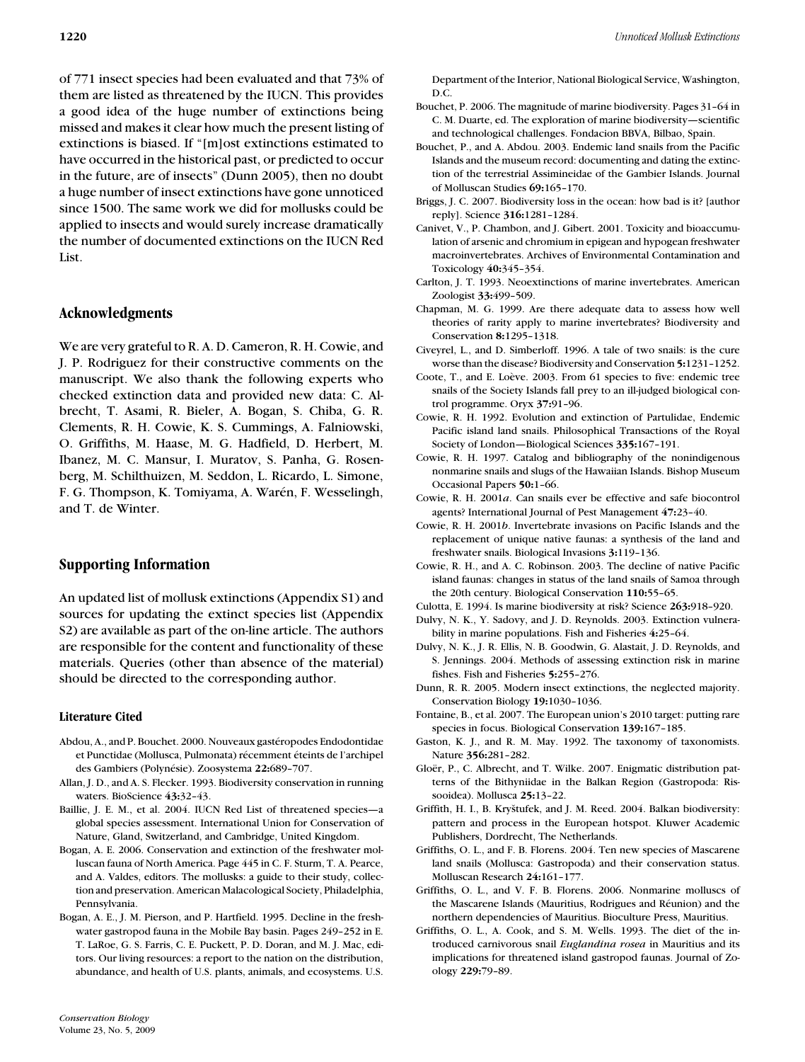of 771 insect species had been evaluated and that 73% of them are listed as threatened by the IUCN. This provides a good idea of the huge number of extinctions being missed and makes it clear how much the present listing of extinctions is biased. If "[m]ost extinctions estimated to have occurred in the historical past, or predicted to occur in the future, are of insects" (Dunn 2005), then no doubt a huge number of insect extinctions have gone unnoticed since 1500. The same work we did for mollusks could be applied to insects and would surely increase dramatically the number of documented extinctions on the IUCN Red List.

## **Acknowledgments**

We are very grateful to R. A. D. Cameron, R. H. Cowie, and J. P. Rodriguez for their constructive comments on the manuscript. We also thank the following experts who checked extinction data and provided new data: C. Albrecht, T. Asami, R. Bieler, A. Bogan, S. Chiba, G. R. Clements, R. H. Cowie, K. S. Cummings, A. Falniowski, O. Griffiths, M. Haase, M. G. Hadfield, D. Herbert, M. Ibanez, M. C. Mansur, I. Muratov, S. Panha, G. Rosenberg, M. Schilthuizen, M. Seddon, L. Ricardo, L. Simone, F. G. Thompson, K. Tomiyama, A. Warén, F. Wesselingh, and T. de Winter.

## **Supporting Information**

An updated list of mollusk extinctions (Appendix S1) and sources for updating the extinct species list (Appendix S2) are available as part of the on-line article. The authors are responsible for the content and functionality of these materials. Queries (other than absence of the material) should be directed to the corresponding author.

## **Literature Cited**

- Abdou, A., and P. Bouchet. 2000. Nouveaux gastéropodes Endodontidae et Punctidae (Mollusca, Pulmonata) récemment éteints de l'archipel des Gambiers (Polynésie). Zoosystema 22:689-707.
- Allan, J. D., and A. S. Flecker. 1993. Biodiversity conservation in running waters. BioScience **43:**32–43.
- Baillie, J. E. M., et al. 2004. IUCN Red List of threatened species—a global species assessment. International Union for Conservation of Nature, Gland, Switzerland, and Cambridge, United Kingdom.
- Bogan, A. E. 2006. Conservation and extinction of the freshwater molluscan fauna of North America. Page 445 in C. F. Sturm, T. A. Pearce, and A. Valdes, editors. The mollusks: a guide to their study, collection and preservation. American Malacological Society, Philadelphia, Pennsylvania.
- Bogan, A. E., J. M. Pierson, and P. Hartfield. 1995. Decline in the freshwater gastropod fauna in the Mobile Bay basin. Pages 249–252 in E. T. LaRoe, G. S. Farris, C. E. Puckett, P. D. Doran, and M. J. Mac, editors. Our living resources: a report to the nation on the distribution, abundance, and health of U.S. plants, animals, and ecosystems. U.S.

Department of the Interior, National Biological Service, Washington, D.C.

- Bouchet, P. 2006. The magnitude of marine biodiversity. Pages 31–64 in C. M. Duarte, ed. The exploration of marine biodiversity—scientific and technological challenges. Fondacion BBVA, Bilbao, Spain.
- Bouchet, P., and A. Abdou. 2003. Endemic land snails from the Pacific Islands and the museum record: documenting and dating the extinction of the terrestrial Assimineidae of the Gambier Islands. Journal of Molluscan Studies **69:**165–170.
- Briggs, J. C. 2007. Biodiversity loss in the ocean: how bad is it? [author reply]. Science **316:**1281–1284.
- Canivet, V., P. Chambon, and J. Gibert. 2001. Toxicity and bioaccumulation of arsenic and chromium in epigean and hypogean freshwater macroinvertebrates. Archives of Environmental Contamination and Toxicology **40:**345–354.
- Carlton, J. T. 1993. Neoextinctions of marine invertebrates. American Zoologist **33:**499–509.
- Chapman, M. G. 1999. Are there adequate data to assess how well theories of rarity apply to marine invertebrates? Biodiversity and Conservation **8:**1295–1318.
- Civeyrel, L., and D. Simberloff. 1996. A tale of two snails: is the cure worse than the disease? Biodiversity and Conservation **5:**1231–1252.
- Coote, T., and E. Loève. 2003. From 61 species to five: endemic tree snails of the Society Islands fall prey to an ill-judged biological control programme. Oryx **37:**91–96.
- Cowie, R. H. 1992. Evolution and extinction of Partulidae, Endemic Pacific island land snails. Philosophical Transactions of the Royal Society of London—Biological Sciences **335:**167–191.
- Cowie, R. H. 1997. Catalog and bibliography of the nonindigenous nonmarine snails and slugs of the Hawaiian Islands. Bishop Museum Occasional Papers **50:**1–66.
- Cowie, R. H. 2001*a*. Can snails ever be effective and safe biocontrol agents? International Journal of Pest Management **47:**23–40.
- Cowie, R. H. 2001*b*. Invertebrate invasions on Pacific Islands and the replacement of unique native faunas: a synthesis of the land and freshwater snails. Biological Invasions **3:**119–136.
- Cowie, R. H., and A. C. Robinson. 2003. The decline of native Pacific island faunas: changes in status of the land snails of Samoa through the 20th century. Biological Conservation **110:**55–65.
- Culotta, E. 1994. Is marine biodiversity at risk? Science **263:**918–920.
- Dulvy, N. K., Y. Sadovy, and J. D. Reynolds. 2003. Extinction vulnerability in marine populations. Fish and Fisheries **4:**25–64.
- Dulvy, N. K., J. R. Ellis, N. B. Goodwin, G. Alastait, J. D. Reynolds, and S. Jennings. 2004. Methods of assessing extinction risk in marine fishes. Fish and Fisheries **5:**255–276.
- Dunn, R. R. 2005. Modern insect extinctions, the neglected majority. Conservation Biology **19:**1030–1036.
- Fontaine, B., et al. 2007. The European union's 2010 target: putting rare species in focus. Biological Conservation **139:**167–185.
- Gaston, K. J., and R. M. May. 1992. The taxonomy of taxonomists. Nature **356:**281–282.
- Gloër, P., C. Albrecht, and T. Wilke. 2007. Enigmatic distribution patterns of the Bithyniidae in the Balkan Region (Gastropoda: Rissooidea). Mollusca **25:**13–22.
- Griffith, H. I., B. Kryštufek, and J. M. Reed. 2004. Balkan biodiversity: pattern and process in the European hotspot. Kluwer Academic Publishers, Dordrecht, The Netherlands.
- Griffiths, O. L., and F. B. Florens. 2004. Ten new species of Mascarene land snails (Mollusca: Gastropoda) and their conservation status. Molluscan Research **24:**161–177.
- Griffiths, O. L., and V. F. B. Florens. 2006. Nonmarine molluscs of the Mascarene Islands (Mauritius, Rodrigues and Réunion) and the northern dependencies of Mauritius. Bioculture Press, Mauritius.
- Griffiths, O. L., A. Cook, and S. M. Wells. 1993. The diet of the introduced carnivorous snail *Euglandina rosea* in Mauritius and its implications for threatened island gastropod faunas. Journal of Zoology **229:**79–89.